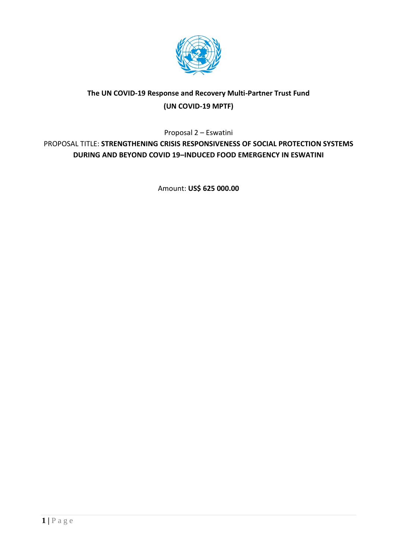

# **The UN COVID-19 Response and Recovery Multi-Partner Trust Fund (UN COVID-19 MPTF)**

Proposal 2 – Eswatini

PROPOSAL TITLE: **STRENGTHENING CRISIS RESPONSIVENESS OF SOCIAL PROTECTION SYSTEMS DURING AND BEYOND COVID 19–INDUCED FOOD EMERGENCY IN ESWATINI**

Amount: **US\$ 625 000.00**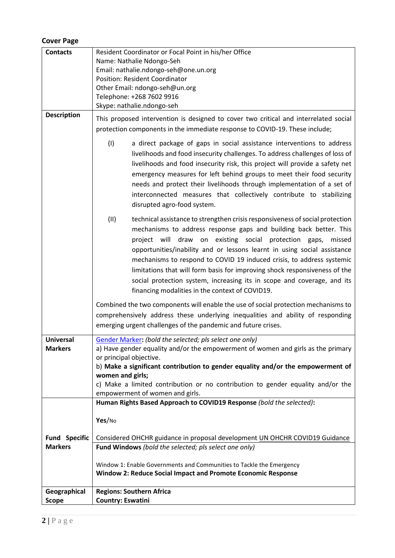### **Cover Page**

| <b>Contacts</b>                        | Resident Coordinator or Focal Point in his/her Office<br>Name: Nathalie Ndongo-Seh<br>Email: nathalie.ndongo-seh@one.un.org<br><b>Position: Resident Coordinator</b><br>Other Email: ndongo-seh@un.org<br>Telephone: +268 7602 9916                                                                                                                                                                                                                                                                                                                                                             |  |  |  |  |  |  |
|----------------------------------------|-------------------------------------------------------------------------------------------------------------------------------------------------------------------------------------------------------------------------------------------------------------------------------------------------------------------------------------------------------------------------------------------------------------------------------------------------------------------------------------------------------------------------------------------------------------------------------------------------|--|--|--|--|--|--|
| <b>Description</b>                     | Skype: nathalie.ndongo-seh<br>This proposed intervention is designed to cover two critical and interrelated social<br>protection components in the immediate response to COVID-19. These include;                                                                                                                                                                                                                                                                                                                                                                                               |  |  |  |  |  |  |
|                                        | (1)<br>a direct package of gaps in social assistance interventions to address<br>livelihoods and food insecurity challenges. To address challenges of loss of<br>livelihoods and food insecurity risk, this project will provide a safety net<br>emergency measures for left behind groups to meet their food security<br>needs and protect their livelihoods through implementation of a set of<br>interconnected measures that collectively contribute to stabilizing<br>disrupted agro-food system.                                                                                          |  |  |  |  |  |  |
|                                        | (11)<br>technical assistance to strengthen crisis responsiveness of social protection<br>mechanisms to address response gaps and building back better. This<br>project will draw on existing social protection gaps,<br>missed<br>opportunities/inability and or lessons learnt in using social assistance<br>mechanisms to respond to COVID 19 induced crisis, to address systemic<br>limitations that will form basis for improving shock responsiveness of the<br>social protection system, increasing its in scope and coverage, and its<br>financing modalities in the context of COVID19. |  |  |  |  |  |  |
|                                        | Combined the two components will enable the use of social protection mechanisms to<br>comprehensively address these underlying inequalities and ability of responding<br>emerging urgent challenges of the pandemic and future crises.                                                                                                                                                                                                                                                                                                                                                          |  |  |  |  |  |  |
| <b>Universal</b><br><b>Markers</b>     | Gender Marker: (bold the selected; pls select one only)<br>a) Have gender equality and/or the empowerment of women and girls as the primary<br>or principal objective.<br>b) Make a significant contribution to gender equality and/or the empowerment of<br>women and girls;<br>c) Make a limited contribution or no contribution to gender equality and/or the<br>empowerment of women and girls.                                                                                                                                                                                             |  |  |  |  |  |  |
|                                        | Human Rights Based Approach to COVID19 Response (bold the selected):                                                                                                                                                                                                                                                                                                                                                                                                                                                                                                                            |  |  |  |  |  |  |
| <b>Fund Specific</b><br><b>Markers</b> | Yes/No<br>Considered OHCHR guidance in proposal development UN OHCHR COVID19 Guidance<br>Fund Windows (bold the selected; pls select one only)<br>Window 1: Enable Governments and Communities to Tackle the Emergency<br><b>Window 2: Reduce Social Impact and Promote Economic Response</b>                                                                                                                                                                                                                                                                                                   |  |  |  |  |  |  |
| Geographical<br><b>Scope</b>           | <b>Regions: Southern Africa</b><br><b>Country: Eswatini</b>                                                                                                                                                                                                                                                                                                                                                                                                                                                                                                                                     |  |  |  |  |  |  |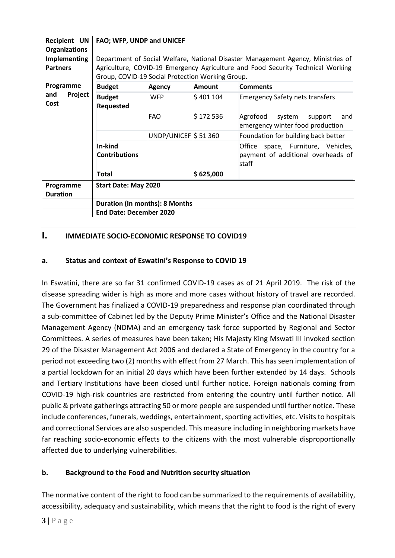| <b>Recipient UN</b><br><b>Organizations</b> | FAO; WFP, UNDP and UNICEF                                                       |                                  |               |                                                                                   |  |  |  |  |  |  |
|---------------------------------------------|---------------------------------------------------------------------------------|----------------------------------|---------------|-----------------------------------------------------------------------------------|--|--|--|--|--|--|
| Implementing                                |                                                                                 |                                  |               | Department of Social Welfare, National Disaster Management Agency, Ministries of  |  |  |  |  |  |  |
| <b>Partners</b>                             | Agriculture, COVID-19 Emergency Agriculture and Food Security Technical Working |                                  |               |                                                                                   |  |  |  |  |  |  |
|                                             | Group, COVID-19 Social Protection Working Group.                                |                                  |               |                                                                                   |  |  |  |  |  |  |
| Programme                                   | <b>Budget</b>                                                                   | <b>Agency</b>                    | <b>Amount</b> | <b>Comments</b>                                                                   |  |  |  |  |  |  |
| Project<br>and<br>Cost                      | <b>Budget</b><br>Requested                                                      | <b>WFP</b>                       | \$401104      | <b>Emergency Safety nets transfers</b>                                            |  |  |  |  |  |  |
|                                             |                                                                                 | <b>FAO</b>                       | \$172536      | Agrofood<br>system<br>support<br>and<br>emergency winter food production          |  |  |  |  |  |  |
|                                             |                                                                                 | UNDP/UNICEF $\frac{1}{2}$ 51 360 |               | Foundation for building back better                                               |  |  |  |  |  |  |
|                                             | In-kind<br><b>Contributions</b>                                                 |                                  |               | Office space, Furniture, Vehicles,<br>payment of additional overheads of<br>staff |  |  |  |  |  |  |
|                                             | \$625,000<br><b>Total</b>                                                       |                                  |               |                                                                                   |  |  |  |  |  |  |
| Programme<br><b>Duration</b>                | <b>Start Date: May 2020</b>                                                     |                                  |               |                                                                                   |  |  |  |  |  |  |
|                                             | <b>Duration (In months): 8 Months</b>                                           |                                  |               |                                                                                   |  |  |  |  |  |  |
|                                             | <b>End Date: December 2020</b>                                                  |                                  |               |                                                                                   |  |  |  |  |  |  |

## **I. IMMEDIATE SOCIO-ECONOMIC RESPONSE TO COVID19**

### **a. Status and context of Eswatini's Response to COVID 19**

In Eswatini, there are so far 31 confirmed COVID-19 cases as of 21 April 2019. The risk of the disease spreading wider is high as more and more cases without history of travel are recorded. The Government has finalized a COVID-19 preparedness and response plan coordinated through a sub-committee of Cabinet led by the Deputy Prime Minister's Office and the National Disaster Management Agency (NDMA) and an emergency task force supported by Regional and Sector Committees. A series of measures have been taken; His Majesty King Mswati III invoked section 29 of the Disaster Management Act 2006 and declared a State of Emergency in the country for a period not exceeding two (2) months with effect from 27 March. This has seen implementation of a partial lockdown for an initial 20 days which have been further extended by 14 days. Schools and Tertiary Institutions have been closed until further notice. Foreign nationals coming from COVID-19 high-risk countries are restricted from entering the country until further notice. All public & private gatherings attracting 50 or more people are suspended until further notice. These include conferences, funerals, weddings, entertainment, sporting activities, etc. Visits to hospitals and correctional Services are also suspended. This measure including in neighboring markets have far reaching socio-economic effects to the citizens with the most vulnerable disproportionally affected due to underlying vulnerabilities.

### **b. Background to the Food and Nutrition security situation**

The normative content of the right to food can be summarized to the requirements of availability, accessibility, adequacy and sustainability, which means that the right to food is the right of every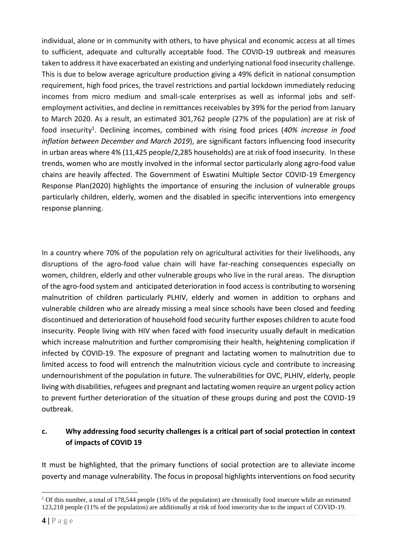individual, alone or in community with others, to have physical and economic access at all times to sufficient, adequate and culturally acceptable food. The COVID-19 outbreak and measures taken to address it have exacerbated an existing and underlying national food insecurity challenge. This is due to below average agriculture production giving a 49% deficit in national consumption requirement, high food prices, the travel restrictions and partial lockdown immediately reducing incomes from micro medium and small-scale enterprises as well as informal jobs and selfemployment activities, and decline in remittances receivables by 39% for the period from January to March 2020. As a result, an estimated 301,762 people (27% of the population) are at risk of food insecurity<sup>1</sup>. Declining incomes, combined with rising food prices (40% increase in food *inflation between December and March 2019*), are significant factors influencing food insecurity in urban areas where 4% (11,425 people/2,285 households) are at risk of food insecurity. In these trends, women who are mostly involved in the informal sector particularly along agro-food value chains are heavily affected. The Government of Eswatini Multiple Sector COVID-19 Emergency Response Plan(2020) highlights the importance of ensuring the inclusion of vulnerable groups particularly children, elderly, women and the disabled in specific interventions into emergency response planning.

In a country where 70% of the population rely on agricultural activities for their livelihoods, any disruptions of the agro-food value chain will have far-reaching consequences especially on women, children, elderly and other vulnerable groups who live in the rural areas. The disruption of the agro-food system and anticipated deterioration in food access is contributing to worsening malnutrition of children particularly PLHIV, elderly and women in addition to orphans and vulnerable children who are already missing a meal since schools have been closed and feeding discontinued and deterioration of household food security further exposes children to acute food insecurity. People living with HIV when faced with food insecurity usually default in medication which increase malnutrition and further compromising their health, heightening complication if infected by COVID-19. The exposure of pregnant and lactating women to malnutrition due to limited access to food will entrench the malnutrition vicious cycle and contribute to increasing undernourishment of the population in future. The vulnerabilities for OVC, PLHIV, elderly, people living with disabilities, refugees and pregnant and lactating women require an urgent policy action to prevent further deterioration of the situation of these groups during and post the COVID-19 outbreak.

### **c. Why addressing food security challenges is a critical part of social protection in context of impacts of COVID 19**

It must be highlighted, that the primary functions of social protection are to alleviate income poverty and manage vulnerability. The focus in proposal highlights interventions on food security

<sup>&</sup>lt;sup>1</sup> Of this number, a total of 178,544 people (16% of the population) are chronically food insecure while an estimated 123,218 people (11% of the population) are additionally at risk of food insecurity due to the impact of COVID-19.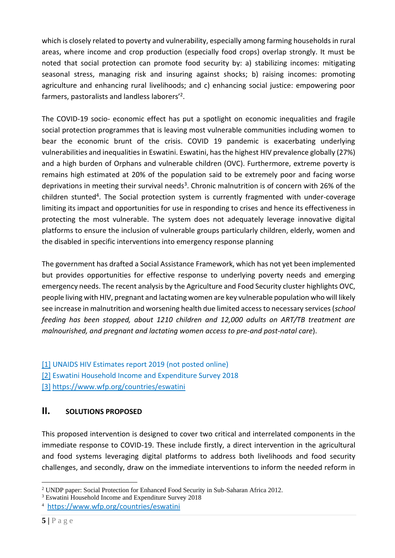which is closely related to poverty and vulnerability, especially among farming households in rural areas, where income and crop production (especially food crops) overlap strongly. It must be noted that social protection can promote food security by: a) stabilizing incomes: mitigating seasonal stress, managing risk and insuring against shocks; b) raising incomes: promoting agriculture and enhancing rural livelihoods; and c) enhancing social justice: empowering poor farmers, pastoralists and landless laborers'<sup>2</sup> .

The COVID-19 socio- economic effect has put a spotlight on economic inequalities and fragile social protection programmes that is leaving most vulnerable communities including women to bear the economic brunt of the crisis. COVID 19 pandemic is exacerbating underlying vulnerabilities and inequalities in Eswatini. Eswatini, has the highest HIV prevalence globally (27%) and a high burden of Orphans and vulnerable children (OVC). Furthermore, extreme poverty is remains high estimated at 20% of the population said to be extremely poor and facing worse deprivations in meeting their survival needs<sup>3</sup>. Chronic malnutrition is of concern with 26% of the children stunted<sup>4</sup>. The Social protection system is currently fragmented with under-coverage limiting its impact and opportunities for use in responding to crises and hence its effectiveness in protecting the most vulnerable. The system does not adequately leverage innovative digital platforms to ensure the inclusion of vulnerable groups particularly children, elderly, women and the disabled in specific interventions into emergency response planning

The government has drafted a Social Assistance Framework, which has not yet been implemented but provides opportunities for effective response to underlying poverty needs and emerging emergency needs. The recent analysis by the Agriculture and Food Security cluster highlights OVC, people living with HIV, pregnant and lactating women are key vulnerable population who will likely see increase in malnutrition and worsening health due limited access to necessary services (*school feeding has been stopped, about 1210 children and 12,000 adults on ART/TB treatment are malnourished, and pregnant and lactating women access to pre-and post-natal care*).

[\[1\]](file:///C:/Users/Kambanje/Desktop/COVID%2019/Eswatini%20Window%202%20CovidFund_Apr2020%20(1).docx) UNAIDS HIV Estimates report 2019 (not posted online) [\[2\]](file:///C:/Users/Kambanje/Desktop/COVID%2019/Eswatini%20Window%202%20CovidFund_Apr2020%20(1).docx) Eswatini Household Income and Expenditure Survey 2018 [\[3\]](file:///C:/Users/Kambanje/Desktop/COVID%2019/Eswatini%20Window%202%20CovidFund_Apr2020%20(1).docx) <https://www.wfp.org/countries/eswatini>

## **II. SOLUTIONS PROPOSED**

This proposed intervention is designed to cover two critical and interrelated components in the immediate response to COVID-19. These include firstly, a direct intervention in the agricultural and food systems leveraging digital platforms to address both livelihoods and food security challenges, and secondly, draw on the immediate interventions to inform the needed reform in

<sup>&</sup>lt;sup>2</sup> UNDP paper: Social Protection for Enhanced Food Security in Sub-Saharan Africa 2012.

<sup>&</sup>lt;sup>3</sup> Eswatini Household Income and Expenditure Survey 2018

<sup>4</sup> <https://www.wfp.org/countries/eswatini>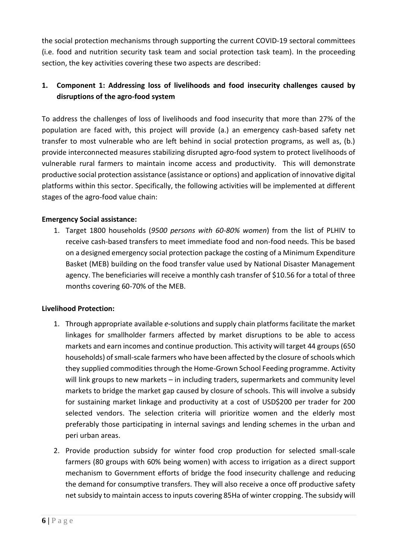the social protection mechanisms through supporting the current COVID-19 sectoral committees (i.e. food and nutrition security task team and social protection task team). In the proceeding section, the key activities covering these two aspects are described:

## **1. Component 1: Addressing loss of livelihoods and food insecurity challenges caused by disruptions of the agro-food system**

To address the challenges of loss of livelihoods and food insecurity that more than 27% of the population are faced with, this project will provide (a.) an emergency cash-based safety net transfer to most vulnerable who are left behind in social protection programs, as well as, (b.) provide interconnected measures stabilizing disrupted agro-food system to protect livelihoods of vulnerable rural farmers to maintain income access and productivity. This will demonstrate productive social protection assistance (assistance or options) and application of innovative digital platforms within this sector. Specifically, the following activities will be implemented at different stages of the agro-food value chain:

### **Emergency Social assistance:**

1. Target 1800 households (*9500 persons with 60-80% women*) from the list of PLHIV to receive cash-based transfers to meet immediate food and non-food needs. This be based on a designed emergency social protection package the costing of a Minimum Expenditure Basket (MEB) building on the food transfer value used by National Disaster Management agency. The beneficiaries will receive a monthly cash transfer of \$10.56 for a total of three months covering 60-70% of the MEB.

### **Livelihood Protection:**

- 1. Through appropriate available *e-*solutions and supply chain platforms facilitate the market linkages for smallholder farmers affected by market disruptions to be able to access markets and earn incomes and continue production. This activity will target 44 groups(650 households) of small-scale farmers who have been affected by the closure of schools which they supplied commodities through the Home-Grown School Feeding programme. Activity will link groups to new markets – in including traders, supermarkets and community level markets to bridge the market gap caused by closure of schools. This will involve a subsidy for sustaining market linkage and productivity at a cost of USD\$200 per trader for 200 selected vendors. The selection criteria will prioritize women and the elderly most preferably those participating in internal savings and lending schemes in the urban and peri urban areas.
- 2. Provide production subsidy for winter food crop production for selected small-scale farmers (80 groups with 60% being women) with access to irrigation as a direct support mechanism to Government efforts of bridge the food insecurity challenge and reducing the demand for consumptive transfers. They will also receive a once off productive safety net subsidy to maintain access to inputs covering 85Ha of winter cropping. The subsidy will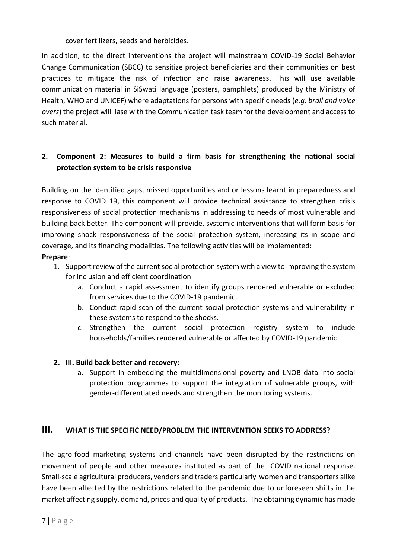cover fertilizers, seeds and herbicides.

In addition, to the direct interventions the project will mainstream COVID-19 Social Behavior Change Communication (SBCC) to sensitize project beneficiaries and their communities on best practices to mitigate the risk of infection and raise awareness. This will use available communication material in SiSwati language (posters, pamphlets) produced by the Ministry of Health, WHO and UNICEF) where adaptations for persons with specific needs (*e.g. brail and voice overs*) the project will liase with the Communication task team for the development and access to such material.

## **2. Component 2: Measures to build a firm basis for strengthening the national social protection system to be crisis responsive**

Building on the identified gaps, missed opportunities and or lessons learnt in preparedness and response to COVID 19, this component will provide technical assistance to strengthen crisis responsiveness of social protection mechanisms in addressing to needs of most vulnerable and building back better. The component will provide, systemic interventions that will form basis for improving shock responsiveness of the social protection system, increasing its in scope and coverage, and its financing modalities. The following activities will be implemented:

### **Prepare**:

- 1. Support review of the current social protection system with a view to improving the system for inclusion and efficient coordination
	- a. Conduct a rapid assessment to identify groups rendered vulnerable or excluded from services due to the COVID-19 pandemic.
	- b. Conduct rapid scan of the current social protection systems and vulnerability in these systems to respond to the shocks.
	- c. Strengthen the current social protection registry system to include households/families rendered vulnerable or affected by COVID-19 pandemic

### **2. III. Build back better and recovery:**

a. Support in embedding the multidimensional poverty and LNOB data into social protection programmes to support the integration of vulnerable groups, with gender-differentiated needs and strengthen the monitoring systems.

### **III. WHAT IS THE SPECIFIC NEED/PROBLEM THE INTERVENTION SEEKS TO ADDRESS?**

The agro-food marketing systems and channels have been disrupted by the restrictions on movement of people and other measures instituted as part of the COVID national response. Small-scale agricultural producers, vendors and traders particularly women and transporters alike have been affected by the restrictions related to the pandemic due to unforeseen shifts in the market affecting supply, demand, prices and quality of products. The obtaining dynamic has made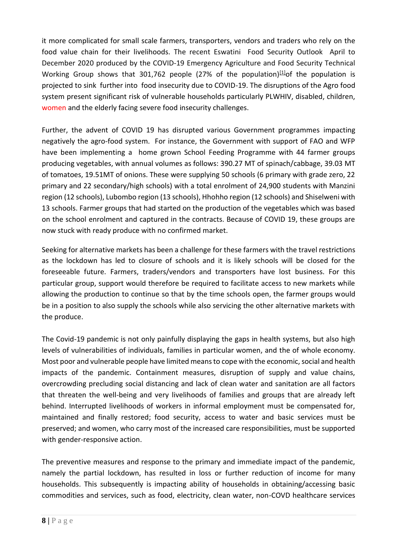it more complicated for small scale farmers, transporters, vendors and traders who rely on the food value chain for their livelihoods. The recent Eswatini Food Security Outlook April to December 2020 produced by the COVID-19 Emergency Agriculture and Food Security Technical Working Group shows that 301,762 people (27% of the population) $[1]$ of the population is projected to sink further into food insecurity due to COVID-19. The disruptions of the Agro food system present significant risk of vulnerable households particularly PLWHIV, disabled, children, women and the elderly facing severe food insecurity challenges.

Further, the advent of COVID 19 has disrupted various Government programmes impacting negatively the agro-food system. For instance, the Government with support of FAO and WFP have been implementing a home grown School Feeding Programme with 44 farmer groups producing vegetables, with annual volumes as follows: 390.27 MT of spinach/cabbage, 39.03 MT of tomatoes, 19.51MT of onions. These were supplying 50 schools (6 primary with grade zero, 22 primary and 22 secondary/high schools) with a total enrolment of 24,900 students with Manzini region (12 schools), Lubombo region (13 schools), Hhohho region (12 schools) and Shiselweni with 13 schools. Farmer groups that had started on the production of the vegetables which was based on the school enrolment and captured in the contracts. Because of COVID 19, these groups are now stuck with ready produce with no confirmed market.

Seeking for alternative markets has been a challenge for these farmers with the travel restrictions as the lockdown has led to closure of schools and it is likely schools will be closed for the foreseeable future. Farmers, traders/vendors and transporters have lost business. For this particular group, support would therefore be required to facilitate access to new markets while allowing the production to continue so that by the time schools open, the farmer groups would be in a position to also supply the schools while also servicing the other alternative markets with the produce.

The Covid-19 pandemic is not only painfully displaying the gaps in health systems, but also high levels of vulnerabilities of individuals, families in particular women, and the of whole economy. Most poor and vulnerable people have limited means to cope with the economic, social and health impacts of the pandemic. Containment measures, disruption of supply and value chains, overcrowding precluding social distancing and lack of clean water and sanitation are all factors that threaten the well-being and very livelihoods of families and groups that are already left behind. Interrupted livelihoods of workers in informal employment must be compensated for, maintained and finally restored; food security, access to water and basic services must be preserved; and women, who carry most of the increased care responsibilities, must be supported with gender-responsive action.

The preventive measures and response to the primary and immediate impact of the pandemic, namely the partial lockdown, has resulted in loss or further reduction of income for many households. This subsequently is impacting ability of households in obtaining/accessing basic commodities and services, such as food, electricity, clean water, non-COVD healthcare services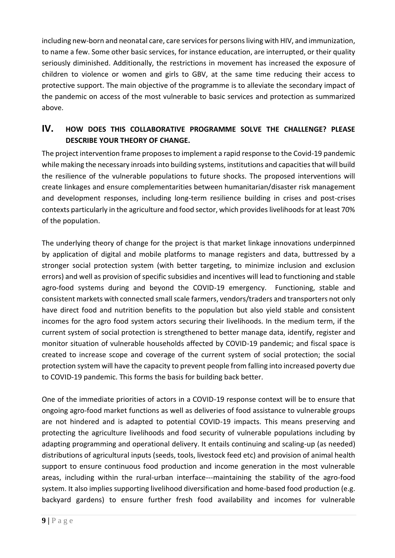including new-born and neonatal care, care services for persons living with HIV, and immunization, to name a few. Some other basic services, for instance education, are interrupted, or their quality seriously diminished. Additionally, the restrictions in movement has increased the exposure of children to violence or women and girls to GBV, at the same time reducing their access to protective support. The main objective of the programme is to alleviate the secondary impact of the pandemic on access of the most vulnerable to basic services and protection as summarized above.

## **IV. HOW DOES THIS COLLABORATIVE PROGRAMME SOLVE THE CHALLENGE? PLEASE DESCRIBE YOUR THEORY OF CHANGE.**

The project intervention frame proposesto implement a rapid response to the Covid-19 pandemic while making the necessary inroads into building systems, institutions and capacities that will build the resilience of the vulnerable populations to future shocks. The proposed interventions will create linkages and ensure complementarities between humanitarian/disaster risk management and development responses, including long-term resilience building in crises and post-crises contexts particularly in the agriculture and food sector, which provides livelihoods for at least 70% of the population.

The underlying theory of change for the project is that market linkage innovations underpinned by application of digital and mobile platforms to manage registers and data, buttressed by a stronger social protection system (with better targeting, to minimize inclusion and exclusion errors) and well as provision of specific subsidies and incentives will lead to functioning and stable agro-food systems during and beyond the COVID-19 emergency. Functioning, stable and consistent markets with connected small scale farmers, vendors/traders and transporters not only have direct food and nutrition benefits to the population but also yield stable and consistent incomes for the agro food system actors securing their livelihoods. In the medium term, if the current system of social protection is strengthened to better manage data, identify, register and monitor situation of vulnerable households affected by COVID-19 pandemic; and fiscal space is created to increase scope and coverage of the current system of social protection; the social protection system will have the capacity to prevent people from falling into increased poverty due to COVID-19 pandemic. This forms the basis for building back better.

One of the immediate priorities of actors in a COVID-19 response context will be to ensure that ongoing agro-food market functions as well as deliveries of food assistance to vulnerable groups are not hindered and is adapted to potential COVID-19 impacts. This means preserving and protecting the agriculture livelihoods and food security of vulnerable populations including by adapting programming and operational delivery. It entails continuing and scaling-up (as needed) distributions of agricultural inputs (seeds, tools, livestock feed etc) and provision of animal health support to ensure continuous food production and income generation in the most vulnerable areas, including within the rural-urban interface---maintaining the stability of the agro-food system. It also implies supporting livelihood diversification and home-based food production (e.g. backyard gardens) to ensure further fresh food availability and incomes for vulnerable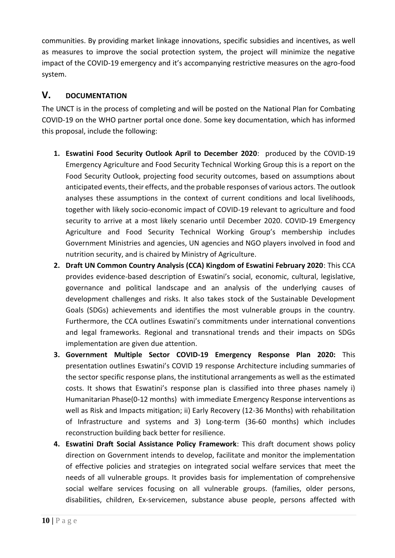communities. By providing market linkage innovations, specific subsidies and incentives, as well as measures to improve the social protection system, the project will minimize the negative impact of the COVID-19 emergency and it's accompanying restrictive measures on the agro-food system.

## **V. DOCUMENTATION**

The UNCT is in the process of completing and will be posted on the National Plan for Combating COVID-19 on the WHO partner portal once done. Some key documentation, which has informed this proposal, include the following:

- **1. Eswatini Food Security Outlook April to December 2020**: produced by the COVID-19 Emergency Agriculture and Food Security Technical Working Group this is a report on the Food Security Outlook, projecting food security outcomes, based on assumptions about anticipated events, their effects, and the probable responses of various actors. The outlook analyses these assumptions in the context of current conditions and local livelihoods, together with likely socio-economic impact of COVID-19 relevant to agriculture and food security to arrive at a most likely scenario until December 2020. COVID-19 Emergency Agriculture and Food Security Technical Working Group's membership includes Government Ministries and agencies, UN agencies and NGO players involved in food and nutrition security, and is chaired by Ministry of Agriculture.
- **2. Draft UN Common Country Analysis (CCA) Kingdom of Eswatini February 2020**: This CCA provides evidence-based description of Eswatini's social, economic, cultural, legislative, governance and political landscape and an analysis of the underlying causes of development challenges and risks. It also takes stock of the Sustainable Development Goals (SDGs) achievements and identifies the most vulnerable groups in the country. Furthermore, the CCA outlines Eswatini's commitments under international conventions and legal frameworks. Regional and transnational trends and their impacts on SDGs implementation are given due attention.
- **3. Government Multiple Sector COVID-19 Emergency Response Plan 2020:** This presentation outlines Eswatini's COVID 19 response Architecture including summaries of the sector specific response plans, the institutional arrangements as well as the estimated costs. It shows that Eswatini's response plan is classified into three phases namely i) Humanitarian Phase(0-12 months) with immediate Emergency Response interventions as well as Risk and Impacts mitigation; ii) Early Recovery (12-36 Months) with rehabilitation of Infrastructure and systems and 3) Long-term (36-60 months) which includes reconstruction building back better for resilience.
- **4. Eswatini Draft Social Assistance Policy Framework**: This draft document shows policy direction on Government intends to develop, facilitate and monitor the implementation of effective policies and strategies on integrated social welfare services that meet the needs of all vulnerable groups. It provides basis for implementation of comprehensive social welfare services focusing on all vulnerable groups. (families, older persons, disabilities, children, Ex-servicemen, substance abuse people, persons affected with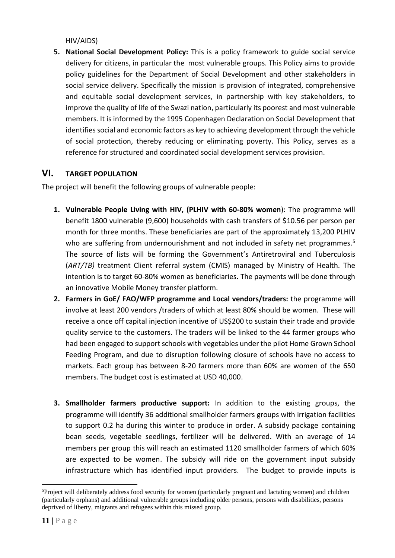HIV/AIDS)

**5. National Social Development Policy:** This is a policy framework to guide social service delivery for citizens, in particular the most vulnerable groups. This Policy aims to provide policy guidelines for the Department of Social Development and other stakeholders in social service delivery. Specifically the mission is provision of integrated, comprehensive and equitable social development services, in partnership with key stakeholders, to improve the quality of life of the Swazi nation, particularly its poorest and most vulnerable members. It is informed by the 1995 Copenhagen Declaration on Social Development that identifies social and economic factors as key to achieving development through the vehicle of social protection, thereby reducing or eliminating poverty. This Policy, serves as a reference for structured and coordinated social development services provision.

## **VI. TARGET POPULATION**

The project will benefit the following groups of vulnerable people:

- **1. Vulnerable People Living with HIV, (PLHIV with 60-80% women**): The programme will benefit 1800 vulnerable (9,600) households with cash transfers of \$10.56 per person per month for three months. These beneficiaries are part of the approximately 13,200 PLHIV who are suffering from undernourishment and not included in safety net programmes.<sup>5</sup> The source of lists will be forming the Government's Antiretroviral and Tuberculosis (*ART/TB)* treatment Client referral system (CMIS) managed by Ministry of Health*.* The intention is to target 60-80% women as beneficiaries. The payments will be done through an innovative Mobile Money transfer platform.
- **2. Farmers in GoE/ FAO/WFP programme and Local vendors/traders:** the programme will involve at least 200 vendors /traders of which at least 80% should be women. These will receive a once off capital injection incentive of US\$200 to sustain their trade and provide quality service to the customers. The traders will be linked to the 44 farmer groups who had been engaged to support schools with vegetables under the pilot Home Grown School Feeding Program, and due to disruption following closure of schools have no access to markets. Each group has between 8-20 farmers more than 60% are women of the 650 members. The budget cost is estimated at USD 40,000.
- **3. Smallholder farmers productive support:** In addition to the existing groups, the programme will identify 36 additional smallholder farmers groups with irrigation facilities to support 0.2 ha during this winter to produce in order. A subsidy package containing bean seeds, vegetable seedlings, fertilizer will be delivered. With an average of 14 members per group this will reach an estimated 1120 smallholder farmers of which 60% are expected to be women. The subsidy will ride on the government input subsidy infrastructure which has identified input providers. The budget to provide inputs is

<sup>5</sup>Project will deliberately address food security for women (particularly pregnant and lactating women) and children (particularly orphans) and additional vulnerable groups including older persons, persons with disabilities, persons deprived of liberty, migrants and refugees within this missed group.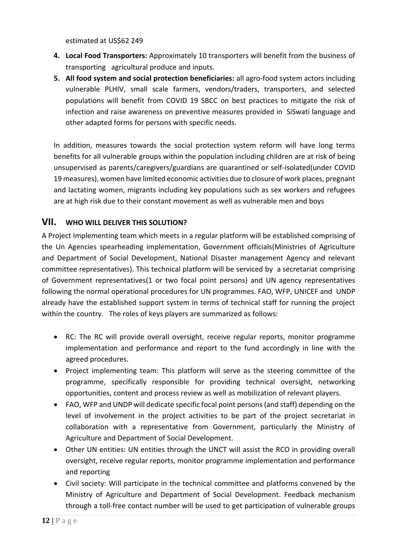estimated at US\$62 249

- **4. Local Food Transporters:** Approximately 10 transporters will benefit from the business of transporting agricultural produce and inputs.
- **5. All food system and social protection beneficiaries:** all agro-food system actors including vulnerable PLHIV, small scale farmers, vendors/traders, transporters, and selected populations will benefit from COVID 19 SBCC on best practices to mitigate the risk of infection and raise awareness on preventive measures provided in SiSwati language and other adapted forms for persons with specific needs.

In addition, measures towards the social protection system reform will have long terms benefits for all vulnerable groups within the population including children are at risk of being unsupervised as parents/caregivers/guardians are quarantined or self-isolated(under COVID 19 measures), women have limited economic activities due to closure of work places, pregnant and lactating women, migrants including key populations such as sex workers and refugees are at high risk due to their constant movement as well as vulnerable men and boys

### **VII. WHO WILL DELIVER THIS SOLUTION?**

A Project Implementing team which meets in a regular platform will be established comprising of the Un Agencies spearheading implementation, Government officials(Ministries of Agriculture and Department of Social Development, National Disaster management Agency and relevant committee representatives). This technical platform will be serviced by a secretariat comprising of Government representatives(1 or two focal point persons) and UN agency representatives following the normal operational procedures for UN programmes. FAO, WFP, UNICEF and UNDP already have the established support system in terms of technical staff for running the project within the country. The roles of keys players are summarized as follows:

- RC: The RC will provide overall oversight, receive regular reports, monitor programme implementation and performance and report to the fund accordingly in line with the agreed procedures.
- Project implementing team: This platform will serve as the steering committee of the programme, specifically responsible for providing technical oversight, networking opportunities, content and process review as well as mobilization of relevant players.
- FAO, WFP and UNDP will dedicate specific focal point persons (and staff) depending on the level of involvement in the project activities to be part of the project secretariat in collaboration with a representative from Government, particularly the Ministry of Agriculture and Department of Social Development.
- Other UN entities: UN entities through the UNCT will assist the RCO in providing overall oversight, receive regular reports, monitor programme implementation and performance and reporting
- Civil society: Will participate in the technical committee and platforms convened by the Ministry of Agriculture and Department of Social Development. Feedback mechanism through a toll-free contact number will be used to get participation of vulnerable groups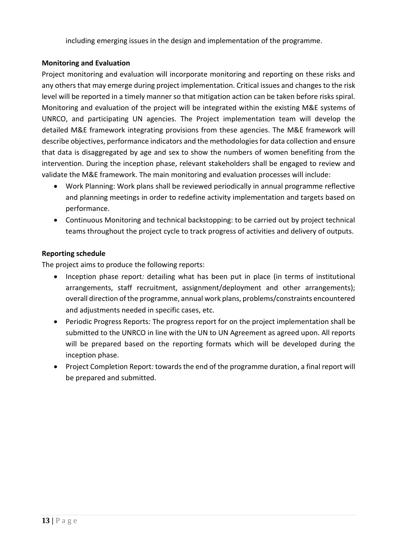including emerging issues in the design and implementation of the programme.

### **Monitoring and Evaluation**

Project monitoring and evaluation will incorporate monitoring and reporting on these risks and any others that may emerge during project implementation. Critical issues and changes to the risk level will be reported in a timely manner so that mitigation action can be taken before risks spiral. Monitoring and evaluation of the project will be integrated within the existing M&E systems of UNRCO, and participating UN agencies. The Project implementation team will develop the detailed M&E framework integrating provisions from these agencies. The M&E framework will describe objectives, performance indicators and the methodologies for data collection and ensure that data is disaggregated by age and sex to show the numbers of women benefiting from the intervention. During the inception phase, relevant stakeholders shall be engaged to review and validate the M&E framework. The main monitoring and evaluation processes will include:

- Work Planning: Work plans shall be reviewed periodically in annual programme reflective and planning meetings in order to redefine activity implementation and targets based on performance.
- Continuous Monitoring and technical backstopping: to be carried out by project technical teams throughout the project cycle to track progress of activities and delivery of outputs.

### **Reporting schedule**

The project aims to produce the following reports:

- Inception phase report*:* detailing what has been put in place (in terms of institutional arrangements, staff recruitment, assignment/deployment and other arrangements); overall direction of the programme, annual work plans, problems/constraints encountered and adjustments needed in specific cases, etc.
- Periodic Progress Reports*:* The progress report for on the project implementation shall be submitted to the UNRCO in line with the UN to UN Agreement as agreed upon. All reports will be prepared based on the reporting formats which will be developed during the inception phase.
- Project Completion Report*:* towards the end of the programme duration, a final report will be prepared and submitted.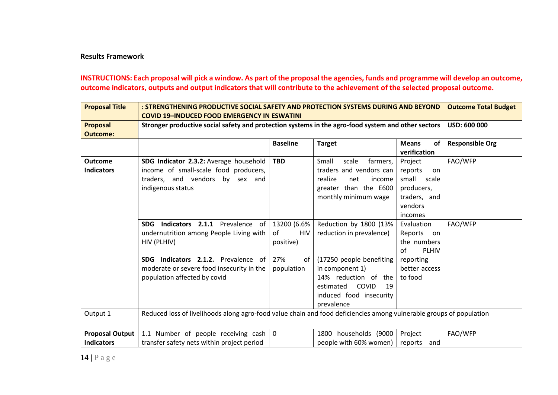#### **Results Framework**

### **INSTRUCTIONS: Each proposal will pick a window. As part of the proposal the agencies, funds and programme will develop an outcome, outcome indicators, outputs and output indicators that will contribute to the achievement of the selected proposal outcome.**

| <b>Proposal Title</b>                | : STRENGTHENING PRODUCTIVE SOCIAL SAFETY AND PROTECTION SYSTEMS DURING AND BEYOND<br><b>COVID 19-INDUCED FOOD EMERGENCY IN ESWATINI</b> | <b>Outcome Total Budget</b>                  |                                                                                                                                          |                                                                                                 |         |  |  |  |  |
|--------------------------------------|-----------------------------------------------------------------------------------------------------------------------------------------|----------------------------------------------|------------------------------------------------------------------------------------------------------------------------------------------|-------------------------------------------------------------------------------------------------|---------|--|--|--|--|
| <b>Proposal</b><br><b>Outcome:</b>   | Stronger productive social safety and protection systems in the agro-food system and other sectors                                      |                                              | <b>USD: 600 000</b>                                                                                                                      |                                                                                                 |         |  |  |  |  |
|                                      |                                                                                                                                         | <b>Responsible Org</b>                       |                                                                                                                                          |                                                                                                 |         |  |  |  |  |
| <b>Outcome</b><br><b>Indicators</b>  | SDG Indicator 2.3.2: Average household<br>income of small-scale food producers,<br>traders, and vendors by sex and<br>indigenous status | <b>TBD</b>                                   | Small<br>scale<br>farmers,<br>traders and vendors can<br>realize<br>income<br>net<br>greater than the E600<br>monthly minimum wage       | Project<br>reports<br>on.<br>small<br>scale<br>producers,<br>traders, and<br>vendors<br>incomes | FAO/WFP |  |  |  |  |
|                                      | Indicators 2.1.1 Prevalence of<br><b>SDG</b><br>undernutrition among People Living with<br>HIV (PLHIV)                                  | 13200 (6.6%<br>of<br><b>HIV</b><br>positive) | Reduction by 1800 (13%  <br>reduction in prevalence)                                                                                     | Evaluation<br>Reports<br>on on<br>the numbers<br>of<br><b>PLHIV</b>                             | FAO/WFP |  |  |  |  |
|                                      | SDG Indicators 2.1.2. Prevalence of<br>moderate or severe food insecurity in the<br>population affected by covid                        | 27%<br>of<br>population                      | (17250 people benefiting<br>in component 1)<br>14% reduction of the<br>COVID<br>estimated<br>19<br>induced food insecurity<br>prevalence | reporting<br>better access<br>to food                                                           |         |  |  |  |  |
| Output 1                             | Reduced loss of livelihoods along agro-food value chain and food deficiencies among vulnerable groups of population                     |                                              |                                                                                                                                          |                                                                                                 |         |  |  |  |  |
| Proposal Output<br><b>Indicators</b> | 1.1 Number of people receiving cash<br>transfer safety nets within project period                                                       | FAO/WFP                                      |                                                                                                                                          |                                                                                                 |         |  |  |  |  |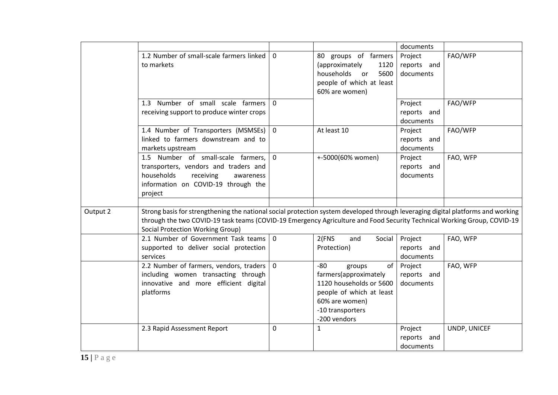|          |                                                                                                                                                                                                                                                                                                       |                |                                                                                                                                                             | documents                           |              |
|----------|-------------------------------------------------------------------------------------------------------------------------------------------------------------------------------------------------------------------------------------------------------------------------------------------------------|----------------|-------------------------------------------------------------------------------------------------------------------------------------------------------------|-------------------------------------|--------------|
|          | 1.2 Number of small-scale farmers linked<br>to markets                                                                                                                                                                                                                                                | $\overline{0}$ | 80 groups of farmers<br>(approximately<br>1120<br>households<br>5600<br><b>or</b><br>people of which at least<br>60% are women)                             | Project<br>reports and<br>documents | FAO/WFP      |
|          | 1.3 Number of small scale farmers<br>receiving support to produce winter crops                                                                                                                                                                                                                        | $\Omega$       |                                                                                                                                                             | Project<br>reports and<br>documents | FAO/WFP      |
|          | 1.4 Number of Transporters (MSMSEs) 0<br>linked to farmers downstream and to<br>markets upstream                                                                                                                                                                                                      |                | At least 10                                                                                                                                                 | Project<br>reports and<br>documents | FAO/WFP      |
|          | 1.5 Number of small-scale farmers,<br>transporters, vendors and traders and<br>households<br>receiving<br>awareness<br>information on COVID-19 through the<br>project                                                                                                                                 | $\mathbf 0$    | +-5000(60% women)                                                                                                                                           | Project<br>reports and<br>documents | FAO, WFP     |
| Output 2 | Strong basis for strengthening the national social protection system developed through leveraging digital platforms and working<br>through the two COVID-19 task teams (COVID-19 Emergency Agriculture and Food Security Technical Working Group, COVID-19<br><b>Social Protection Working Group)</b> |                |                                                                                                                                                             |                                     |              |
|          | 2.1 Number of Government Task teams   0<br>supported to deliver social protection<br>services                                                                                                                                                                                                         |                | 2(FNS)<br>and<br>Social<br>Protection)                                                                                                                      | Project<br>reports and<br>documents | FAO, WFP     |
|          | 2.2 Number of farmers, vendors, traders<br>including women transacting through<br>innovative and more efficient digital<br>platforms                                                                                                                                                                  | $\overline{0}$ | $-80$<br>of<br>groups<br>farmers(approximately<br>1120 households or 5600<br>people of which at least<br>60% are women)<br>-10 transporters<br>-200 vendors | Project<br>reports and<br>documents | FAO, WFP     |
|          | 2.3 Rapid Assessment Report                                                                                                                                                                                                                                                                           | $\mathbf 0$    | 1                                                                                                                                                           | Project<br>reports and<br>documents | UNDP, UNICEF |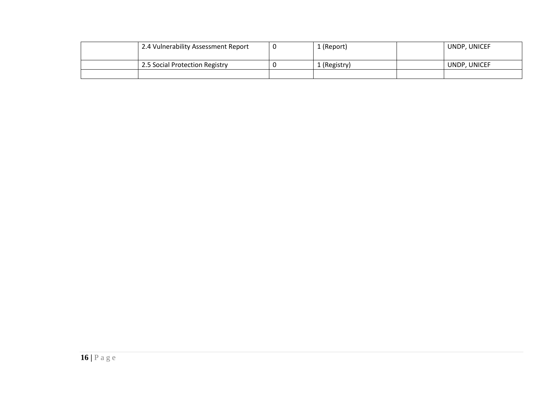| 2.4 Vulnerability Assessment Report | (Report)     | UNDP, UNICEF |
|-------------------------------------|--------------|--------------|
|                                     |              |              |
| 2.5 Social Protection Registry      | . (Registry) | UNDP, UNICEF |
|                                     |              |              |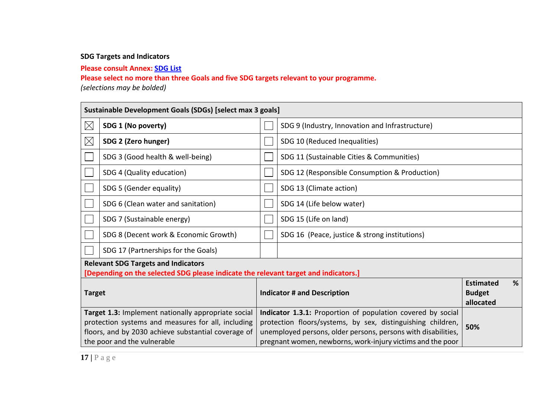### **SDG Targets and Indicators**

**Please consult Annex: SDG List**

**Please select no more than three Goals and five SDG targets relevant to your programme.**

*(selections may be bolded)* 

|                                                                                                                                                                                                 | Sustainable Development Goals (SDGs) [select max 3 goals]                                                                         |                                                 |                                                                                                                                                                                                                                                           |                                                |   |  |  |
|-------------------------------------------------------------------------------------------------------------------------------------------------------------------------------------------------|-----------------------------------------------------------------------------------------------------------------------------------|-------------------------------------------------|-----------------------------------------------------------------------------------------------------------------------------------------------------------------------------------------------------------------------------------------------------------|------------------------------------------------|---|--|--|
| $\boxtimes$                                                                                                                                                                                     | SDG 1 (No poverty)                                                                                                                | SDG 9 (Industry, Innovation and Infrastructure) |                                                                                                                                                                                                                                                           |                                                |   |  |  |
| $\boxtimes$                                                                                                                                                                                     | SDG 2 (Zero hunger)                                                                                                               |                                                 | SDG 10 (Reduced Inequalities)                                                                                                                                                                                                                             |                                                |   |  |  |
|                                                                                                                                                                                                 | SDG 3 (Good health & well-being)                                                                                                  |                                                 | SDG 11 (Sustainable Cities & Communities)                                                                                                                                                                                                                 |                                                |   |  |  |
|                                                                                                                                                                                                 | SDG 4 (Quality education)                                                                                                         |                                                 | SDG 12 (Responsible Consumption & Production)                                                                                                                                                                                                             |                                                |   |  |  |
|                                                                                                                                                                                                 | SDG 5 (Gender equality)                                                                                                           |                                                 | SDG 13 (Climate action)                                                                                                                                                                                                                                   |                                                |   |  |  |
|                                                                                                                                                                                                 | SDG 6 (Clean water and sanitation)                                                                                                |                                                 | SDG 14 (Life below water)                                                                                                                                                                                                                                 |                                                |   |  |  |
|                                                                                                                                                                                                 | SDG 7 (Sustainable energy)                                                                                                        |                                                 | SDG 15 (Life on land)                                                                                                                                                                                                                                     |                                                |   |  |  |
|                                                                                                                                                                                                 | SDG 8 (Decent work & Economic Growth)                                                                                             |                                                 | SDG 16 (Peace, justice & strong institutions)                                                                                                                                                                                                             |                                                |   |  |  |
|                                                                                                                                                                                                 | SDG 17 (Partnerships for the Goals)                                                                                               |                                                 |                                                                                                                                                                                                                                                           |                                                |   |  |  |
|                                                                                                                                                                                                 | <b>Relevant SDG Targets and Indicators</b><br>[Depending on the selected SDG please indicate the relevant target and indicators.] |                                                 |                                                                                                                                                                                                                                                           |                                                |   |  |  |
| <b>Target</b>                                                                                                                                                                                   |                                                                                                                                   |                                                 | <b>Indicator # and Description</b>                                                                                                                                                                                                                        | <b>Estimated</b><br><b>Budget</b><br>allocated | % |  |  |
| Target 1.3: Implement nationally appropriate social<br>protection systems and measures for all, including<br>floors, and by 2030 achieve substantial coverage of<br>the poor and the vulnerable |                                                                                                                                   |                                                 | Indicator 1.3.1: Proportion of population covered by social<br>protection floors/systems, by sex, distinguishing children,<br>unemployed persons, older persons, persons with disabilities,<br>pregnant women, newborns, work-injury victims and the poor | 50%                                            |   |  |  |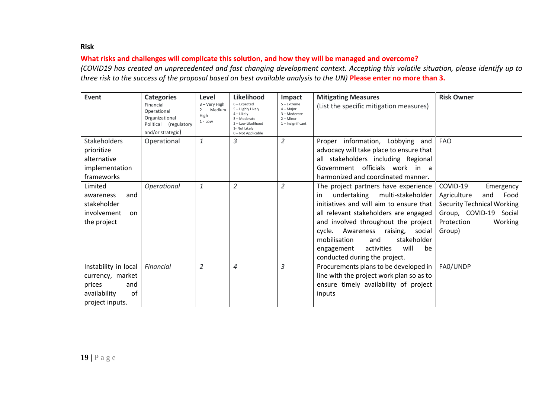#### **Risk**

### **What risks and challenges will complicate this solution, and how they will be managed and overcome?**

*(COVID19 has created an unprecedented and fast changing development context. Accepting this volatile situation, please identify up to three risk to the success of the proposal based on best available analysis to the UN)* **Please enter no more than 3.**

| Event                        | <b>Categories</b>                                                                        | Level                                              | Likelihood                                                                                                                   | Impact                                                                         | <b>Mitigating Measures</b>                | <b>Risk Owner</b>                 |
|------------------------------|------------------------------------------------------------------------------------------|----------------------------------------------------|------------------------------------------------------------------------------------------------------------------------------|--------------------------------------------------------------------------------|-------------------------------------------|-----------------------------------|
|                              | Financial<br>Operational<br>Organizational<br>Political (regulatory<br>and/or strategic) | 3 - Very High<br>$2 - Medium$<br>High<br>$1 - Low$ | $6$ – Expected<br>5 - Highly Likely<br>$4$ – Likely<br>3-Moderate<br>2-Low Likelihood<br>1- Not Likely<br>0 - Not Applicable | 5 - Extreme<br>$4 -$ Major<br>3-Moderate<br>$2 -$ Minor<br>$1$ – Insignificant | (List the specific mitigation measures)   |                                   |
| <b>Stakeholders</b>          | Operational                                                                              | $\mathbf{1}$                                       | 3                                                                                                                            | $\overline{2}$                                                                 | Proper information, Lobbying and          | <b>FAO</b>                        |
| prioritize                   |                                                                                          |                                                    |                                                                                                                              |                                                                                | advocacy will take place to ensure that   |                                   |
| alternative                  |                                                                                          |                                                    |                                                                                                                              |                                                                                | all stakeholders including Regional       |                                   |
| implementation               |                                                                                          |                                                    |                                                                                                                              |                                                                                | Government officials work in a            |                                   |
| frameworks                   |                                                                                          |                                                    |                                                                                                                              |                                                                                | harmonized and coordinated manner.        |                                   |
| Limited                      | Operational                                                                              | $\mathbf{1}$                                       | $\overline{2}$                                                                                                               | $\overline{2}$                                                                 | The project partners have experience      | COVID-19<br>Emergency             |
| awareness<br>and             |                                                                                          |                                                    |                                                                                                                              |                                                                                | undertaking<br>multi-stakeholder<br>in.   | Agriculture<br>Food<br>and        |
| stakeholder                  |                                                                                          |                                                    |                                                                                                                              |                                                                                | initiatives and will aim to ensure that   | <b>Security Technical Working</b> |
| involvement<br><sub>on</sub> |                                                                                          |                                                    |                                                                                                                              |                                                                                | all relevant stakeholders are engaged     | Group, COVID-19 Social            |
| the project                  |                                                                                          |                                                    |                                                                                                                              |                                                                                | and involved throughout the project       | Working<br>Protection             |
|                              |                                                                                          |                                                    |                                                                                                                              |                                                                                | cycle.<br>Awareness<br>raising,<br>social | Group)                            |
|                              |                                                                                          |                                                    |                                                                                                                              |                                                                                | mobilisation<br>stakeholder<br>and        |                                   |
|                              |                                                                                          |                                                    |                                                                                                                              |                                                                                | will<br>activities<br>be<br>engagement    |                                   |
|                              |                                                                                          |                                                    |                                                                                                                              |                                                                                | conducted during the project.             |                                   |
| Instability in local         | Financial                                                                                | $\overline{2}$                                     | $\overline{4}$                                                                                                               | 3                                                                              | Procurements plans to be developed in     | FA0/UNDP                          |
| currency, market             |                                                                                          |                                                    |                                                                                                                              |                                                                                | line with the project work plan so as to  |                                   |
| prices<br>and                |                                                                                          |                                                    |                                                                                                                              |                                                                                | ensure timely availability of project     |                                   |
| of<br>availability           |                                                                                          |                                                    |                                                                                                                              |                                                                                | inputs                                    |                                   |
| project inputs.              |                                                                                          |                                                    |                                                                                                                              |                                                                                |                                           |                                   |